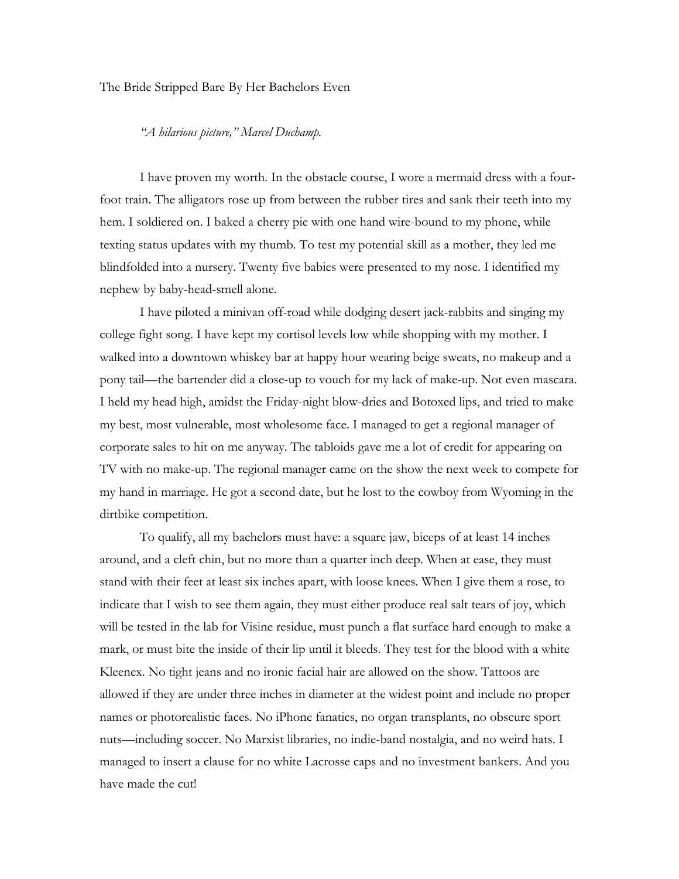## The Bride Stripped Bare By Her Bachelors Even

## *"A hilarious picture," Marcel Duchamp.*

I have proven my worth. In the obstacle course, I wore a mermaid dress with a fourfoot train. The alligators rose up from between the rubber tires and sank their teeth into my hem. I soldiered on. I baked a cherry pie with one hand wire-bound to my phone, while texting status updates with my thumb. To test my potential skill as a mother, they led me blindfolded into a nursery. Twenty five babies were presented to my nose. I identified my nephew by baby-head-smell alone.

I have piloted a minivan off-road while dodging desert jack-rabbits and singing my college fight song. I have kept my cortisol levels low while shopping with my mother. I walked into a downtown whiskey bar at happy hour wearing beige sweats, no makeup and a pony tail—the bartender did a close-up to vouch for my lack of make-up. Not even mascara. I held my head high, amidst the Friday-night blow-dries and Botoxed lips, and tried to make my best, most vulnerable, most wholesome face. I managed to get a regional manager of corporate sales to hit on me anyway. The tabloids gave me a lot of credit for appearing on TV with no make-up. The regional manager came on the show the next week to compete for my hand in marriage. He got a second date, but he lost to the cowboy from Wyoming in the dirtbike competition.

To qualify, all my bachelors must have: a square jaw, biceps of at least 14 inches around, and a cleft chin, but no more than a quarter inch deep. When at ease, they must stand with their feet at least six inches apart, with loose knees. When I give them a rose, to indicate that I wish to see them again, they must either produce real salt tears of joy, which will be tested in the lab for Visine residue, must punch a flat surface hard enough to make a mark, or must bite the inside of their lip until it bleeds. They test for the blood with a white Kleenex. No tight jeans and no ironic facial hair are allowed on the show. Tattoos are allowed if they are under three inches in diameter at the widest point and include no proper names or photorealistic faces. No iPhone fanatics, no organ transplants, no obscure sport nuts—including soccer. No Marxist libraries, no indie-band nostalgia, and no weird hats. I managed to insert a clause for no white Lacrosse caps and no investment bankers. And you have made the cut!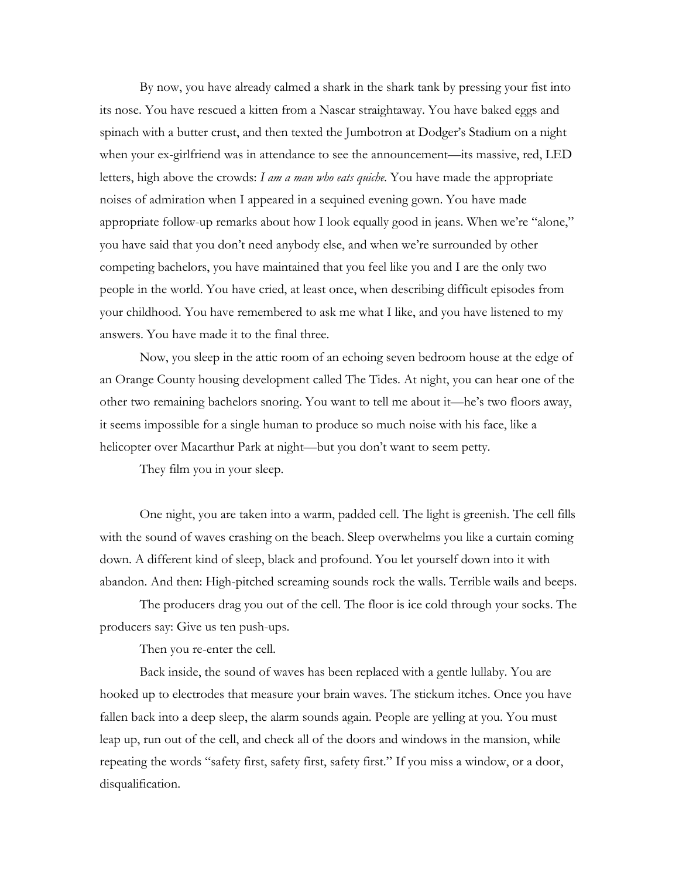By now, you have already calmed a shark in the shark tank by pressing your fist into its nose. You have rescued a kitten from a Nascar straightaway. You have baked eggs and spinach with a butter crust, and then texted the Jumbotron at Dodger's Stadium on a night when your ex-girlfriend was in attendance to see the announcement—its massive, red, LED letters, high above the crowds: *I am a man who eats quiche*. You have made the appropriate noises of admiration when I appeared in a sequined evening gown. You have made appropriate follow-up remarks about how I look equally good in jeans. When we're "alone," you have said that you don't need anybody else, and when we're surrounded by other competing bachelors, you have maintained that you feel like you and I are the only two people in the world. You have cried, at least once, when describing difficult episodes from your childhood. You have remembered to ask me what I like, and you have listened to my answers. You have made it to the final three.

Now, you sleep in the attic room of an echoing seven bedroom house at the edge of an Orange County housing development called The Tides. At night, you can hear one of the other two remaining bachelors snoring. You want to tell me about it—he's two floors away, it seems impossible for a single human to produce so much noise with his face, like a helicopter over Macarthur Park at night—but you don't want to seem petty.

They film you in your sleep.

One night, you are taken into a warm, padded cell. The light is greenish. The cell fills with the sound of waves crashing on the beach. Sleep overwhelms you like a curtain coming down. A different kind of sleep, black and profound. You let yourself down into it with abandon. And then: High-pitched screaming sounds rock the walls. Terrible wails and beeps.

The producers drag you out of the cell. The floor is ice cold through your socks. The producers say: Give us ten push-ups.

Then you re-enter the cell.

Back inside, the sound of waves has been replaced with a gentle lullaby. You are hooked up to electrodes that measure your brain waves. The stickum itches. Once you have fallen back into a deep sleep, the alarm sounds again. People are yelling at you. You must leap up, run out of the cell, and check all of the doors and windows in the mansion, while repeating the words "safety first, safety first, safety first." If you miss a window, or a door, disqualification.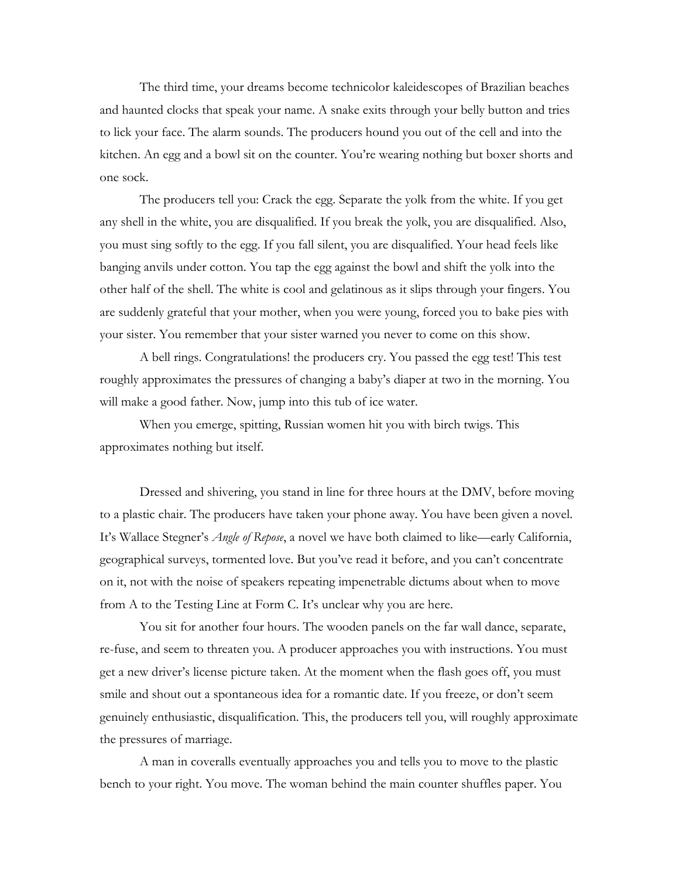The third time, your dreams become technicolor kaleidescopes of Brazilian beaches and haunted clocks that speak your name. A snake exits through your belly button and tries to lick your face. The alarm sounds. The producers hound you out of the cell and into the kitchen. An egg and a bowl sit on the counter. You're wearing nothing but boxer shorts and one sock.

The producers tell you: Crack the egg. Separate the yolk from the white. If you get any shell in the white, you are disqualified. If you break the yolk, you are disqualified. Also, you must sing softly to the egg. If you fall silent, you are disqualified. Your head feels like banging anvils under cotton. You tap the egg against the bowl and shift the yolk into the other half of the shell. The white is cool and gelatinous as it slips through your fingers. You are suddenly grateful that your mother, when you were young, forced you to bake pies with your sister. You remember that your sister warned you never to come on this show.

A bell rings. Congratulations! the producers cry. You passed the egg test! This test roughly approximates the pressures of changing a baby's diaper at two in the morning. You will make a good father. Now, jump into this tub of ice water.

When you emerge, spitting, Russian women hit you with birch twigs. This approximates nothing but itself.

Dressed and shivering, you stand in line for three hours at the DMV, before moving to a plastic chair. The producers have taken your phone away. You have been given a novel. It's Wallace Stegner's *Angle of Repose*, a novel we have both claimed to like—early California, geographical surveys, tormented love. But you've read it before, and you can't concentrate on it, not with the noise of speakers repeating impenetrable dictums about when to move from A to the Testing Line at Form C. It's unclear why you are here.

You sit for another four hours. The wooden panels on the far wall dance, separate, re-fuse, and seem to threaten you. A producer approaches you with instructions. You must get a new driver's license picture taken. At the moment when the flash goes off, you must smile and shout out a spontaneous idea for a romantic date. If you freeze, or don't seem genuinely enthusiastic, disqualification. This, the producers tell you, will roughly approximate the pressures of marriage.

A man in coveralls eventually approaches you and tells you to move to the plastic bench to your right. You move. The woman behind the main counter shuffles paper. You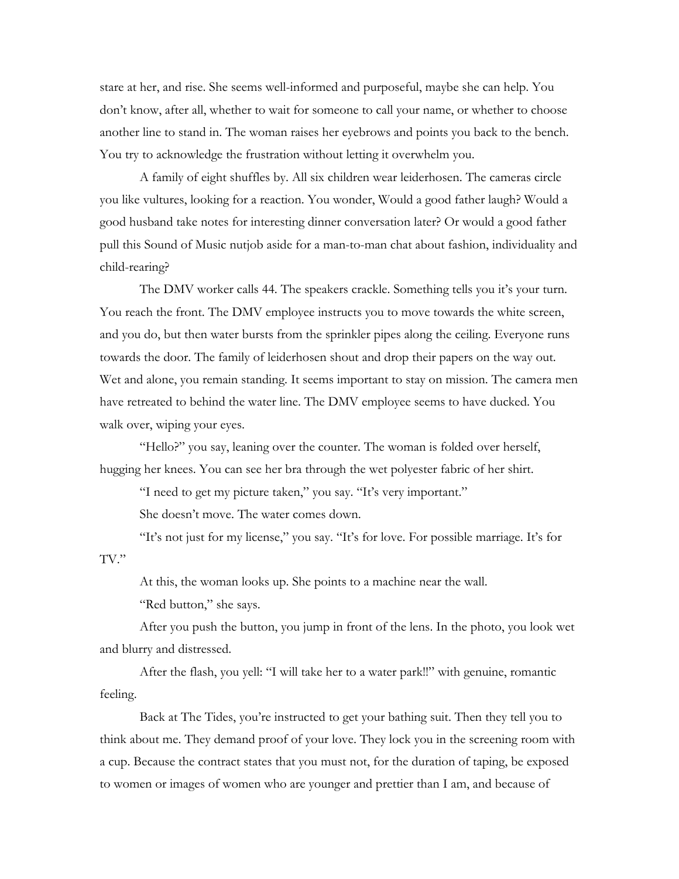stare at her, and rise. She seems well-informed and purposeful, maybe she can help. You don't know, after all, whether to wait for someone to call your name, or whether to choose another line to stand in. The woman raises her eyebrows and points you back to the bench. You try to acknowledge the frustration without letting it overwhelm you.

A family of eight shuffles by. All six children wear leiderhosen. The cameras circle you like vultures, looking for a reaction. You wonder, Would a good father laugh? Would a good husband take notes for interesting dinner conversation later? Or would a good father pull this Sound of Music nutjob aside for a man-to-man chat about fashion, individuality and child-rearing?

The DMV worker calls 44. The speakers crackle. Something tells you it's your turn. You reach the front. The DMV employee instructs you to move towards the white screen, and you do, but then water bursts from the sprinkler pipes along the ceiling. Everyone runs towards the door. The family of leiderhosen shout and drop their papers on the way out. Wet and alone, you remain standing. It seems important to stay on mission. The camera men have retreated to behind the water line. The DMV employee seems to have ducked. You walk over, wiping your eyes.

"Hello?" you say, leaning over the counter. The woman is folded over herself, hugging her knees. You can see her bra through the wet polyester fabric of her shirt.

"I need to get my picture taken," you say. "It's very important."

She doesn't move. The water comes down.

"It's not just for my license," you say. "It's for love. For possible marriage. It's for TV."

At this, the woman looks up. She points to a machine near the wall.

"Red button," she says.

After you push the button, you jump in front of the lens. In the photo, you look wet and blurry and distressed.

After the flash, you yell: "I will take her to a water park!!" with genuine, romantic feeling.

Back at The Tides, you're instructed to get your bathing suit. Then they tell you to think about me. They demand proof of your love. They lock you in the screening room with a cup. Because the contract states that you must not, for the duration of taping, be exposed to women or images of women who are younger and prettier than I am, and because of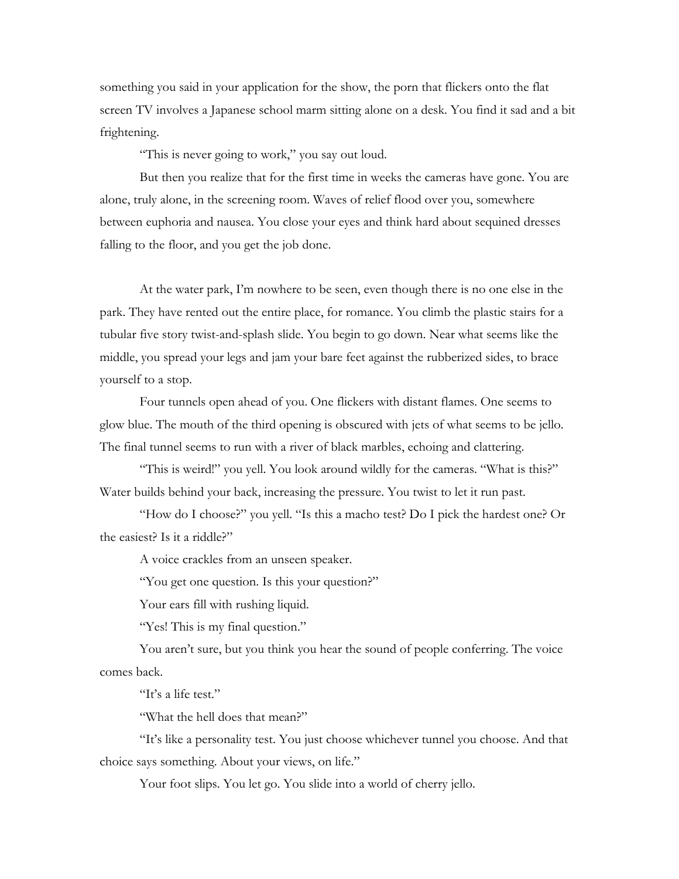something you said in your application for the show, the porn that flickers onto the flat screen TV involves a Japanese school marm sitting alone on a desk. You find it sad and a bit frightening.

"This is never going to work," you say out loud.

But then you realize that for the first time in weeks the cameras have gone. You are alone, truly alone, in the screening room. Waves of relief flood over you, somewhere between euphoria and nausea. You close your eyes and think hard about sequined dresses falling to the floor, and you get the job done.

At the water park, I'm nowhere to be seen, even though there is no one else in the park. They have rented out the entire place, for romance. You climb the plastic stairs for a tubular five story twist-and-splash slide. You begin to go down. Near what seems like the middle, you spread your legs and jam your bare feet against the rubberized sides, to brace yourself to a stop.

Four tunnels open ahead of you. One flickers with distant flames. One seems to glow blue. The mouth of the third opening is obscured with jets of what seems to be jello. The final tunnel seems to run with a river of black marbles, echoing and clattering.

"This is weird!" you yell. You look around wildly for the cameras. "What is this?" Water builds behind your back, increasing the pressure. You twist to let it run past.

"How do I choose?" you yell. "Is this a macho test? Do I pick the hardest one? Or the easiest? Is it a riddle?"

A voice crackles from an unseen speaker.

"You get one question. Is this your question?"

Your ears fill with rushing liquid.

"Yes! This is my final question."

You aren't sure, but you think you hear the sound of people conferring. The voice comes back.

"It's a life test."

"What the hell does that mean?"

"It's like a personality test. You just choose whichever tunnel you choose. And that choice says something. About your views, on life."

Your foot slips. You let go. You slide into a world of cherry jello.